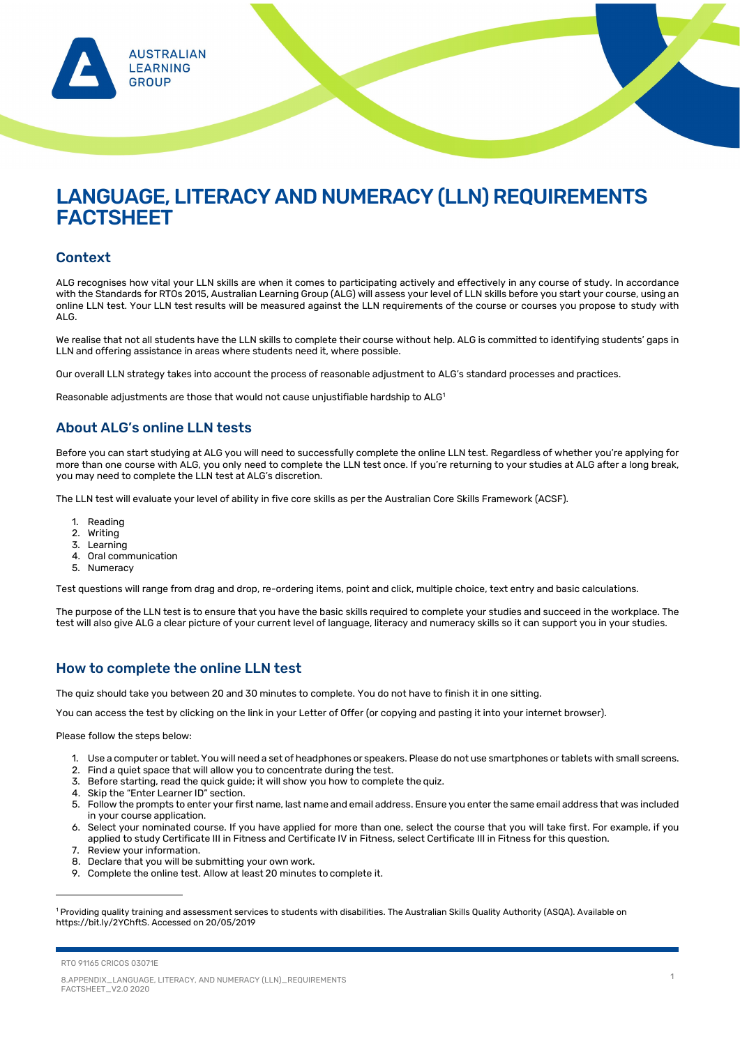RTO 91165 CRICOS 03071E



# LANGUAGE, LITERACY AND NUMERACY (LLN) REQUIREMENTS **FACTSHEET**

8.APPENDIX\_LANGUAGE, LITERACY, AND NUMERACY (LLN)\_REQUIREMENTS FACTSHEET\_V2.0 2020

1

#### Context

ALG recognises how vital your LLN skills are when it comes to participating actively and effectively in any course of study. In accordance with the Standards for RTOs 2015, Australian Learning Group (ALG) will assess your level of LLN skills before you start your course, using an online LLN test. Your LLN test results will be measured against the LLN requirements of the course or courses you propose to study with ALG.

We realise that not all students have the LLN skills to complete their course without help. ALG is committed to identifying students' gaps in LLN and offering assistance in areas where students need it, where possible.

Our overall LLN strategy takes into account the process of reasonable adjustment to ALG's standard processes and practices.

Reasonable adjustments are those that would not cause unjustifiable hardship to  $ALG<sup>1</sup>$  $ALG<sup>1</sup>$  $ALG<sup>1</sup>$ 

### About ALG's online LLN tests

Before you can start studying at ALG you will need to successfully complete the online LLN test. Regardless of whether you're applying for more than one course with ALG, you only need to complete the LLN test once. If you're returning to your studies at ALG after a long break, you may need to complete the LLN test at ALG's discretion.

The LLN test will evaluate your level of ability in five core skills as per the Australian Core Skills Framework (ACSF).

- 1. Reading
- 2. Writing
- 3. Learning
- 4. Oral communication
- 5. Numeracy

Test questions will range from drag and drop, re-ordering items, point and click, multiple choice, text entry and basic calculations.

The purpose of the LLN test is to ensure that you have the basic skills required to complete your studies and succeed in the workplace. The test will also give ALG a clear picture of your current level of language, literacy and numeracy skills so it can support you in your studies.

### How to complete the online LLN test

The quiz should take you between 20 and 30 minutes to complete. You do not have to finish it in one sitting.

You can access the test by clicking on the link in your Letter of Offer (or copying and pasting it into your internet browser).

Please follow the steps below:

- 1. Use a computer or tablet. You will need a set of headphones or speakers. Please do not use smartphones or tablets with small screens.
- 2. Find a quiet space that will allow you to concentrate during the test.
- 3. Before starting, read the quick guide; it will show you how to complete the quiz.
- - 4. Skip the "Enter Learner ID" section.
	- 5. Follow the prompts to enter your first name, last name and email address. Ensure you enter the same email address that was included in your course application.
	- 6. Select your nominated course. If you have applied for more than one, select the course that you will take first. For example, if you applied to study Certificate III in Fitness and Certificate IV in Fitness, select Certificate III in Fitness for this question.
- 7. Review your information.
- 8. Declare that you will be submitting your own work.
- 9. Complete the online test. Allow at least 20 minutes to complete it.

<span id="page-0-0"></span><sup>1</sup> Providing quality training and assessment services to students with disabilities. The Australian Skills Quality Authority (ASQA). Available on https://bit.ly/2YChftS. Accessed on 20/05/2019